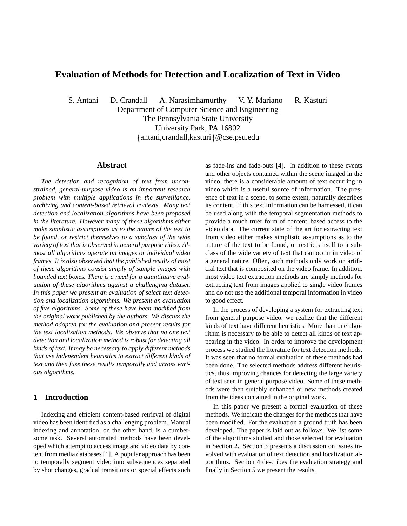# **Evaluation of Methods for Detection and Localization of Text in Video**

S. Antani D. Crandall A. Narasimhamurthy V. Y. Mariano R. Kasturi

Department of Computer Science and Engineering The Pennsylvania State University University Park, PA 16802  $\{antani, grandall, kasturi\}$  @cse.psu.edu

### **Abstract**

*The detection and recognition of text from unconstrained, general-purpose video is an important research problem with multiple applications in the surveillance, archiving and content-based retrieval contexts. Many text detection and localization algorithms have been proposed in the literature. However many of these algorithms either make simplistic assumptions as to the nature of the text to be found, or restrict themselves to a subclass of the wide variety of text that is observed in general purpose video. Almost all algorithms operate on images or individual video frames. It is also observed that the published results of most of these algorithms consist simply of sample images with bounded text boxes. There is a need for a quantitative evaluation of these algorithms against a challenging dataset. In this paper we present an evaluation of select text detection and localization algorithms. We present an evaluation of five algorithms. Some of these have been modified from the original work published by the authors. We discuss the method adopted for the evaluation and present results for the text localization methods. We observe that no one text detection and localization method is robust for detecting all kinds of text. It may be necessary to apply different methods that use independent heuristics to extract different kinds of text and then fuse these results temporally and across various algorithms.*

#### **1 Introduction**

Indexing and efficient content-based retrieval of digital video has been identified as a challenging problem. Manual indexing and annotation, on the other hand, is a cumbersome task. Several automated methods have been developed which attempt to access image and video data by content from media databases [1]. A popular approach has been to temporally segment video into subsequences separated by shot changes, gradual transitions or special effects such as fade-ins and fade-outs [4]. In addition to these events and other objects contained within the scene imaged in the video, there is a considerable amount of text occurring in video which is a useful source of information. The presence of text in a scene, to some extent, naturally describes its content. If this text information can be harnessed, it can be used along with the temporal segmentation methods to provide a much truer form of content–based access to the video data. The current state of the art for extracting text from video either makes simplistic assumptions as to the nature of the text to be found, or restricts itself to a subclass of the wide variety of text that can occur in video of a general nature. Often, such methods only work on artificial text that is composited on the video frame. In addition, most video text extraction methods are simply methods for extracting text from images applied to single video frames and do not use the additional temporal information in video to good effect.

In the process of developing a system for extracting text from general purpose video, we realize that the different kinds of text have different heuristics. More than one algorithm is necessary to be able to detect all kinds of text appearing in the video. In order to improve the development process we studied the literature for text detection methods. It was seen that no formal evaluation of these methods had been done. The selected methods address different heuristics, thus improving chances for detecting the large variety of text seen in general purpose video. Some of these methods were then suitably enhanced or new methods created from the ideas contained in the original work.

In this paper we present a formal evaluation of these methods. We indicate the changes for the methods that have been modified. For the evaluation a ground truth has been developed. The paper is laid out as follows. We list some of the algorithms studied and those selected for evaluation in Section 2. Section 3 presents a discussion on issues involved with evaluation of text detection and localization algorithms. Section 4 describes the evaluation strategy and finally in Section 5 we present the results.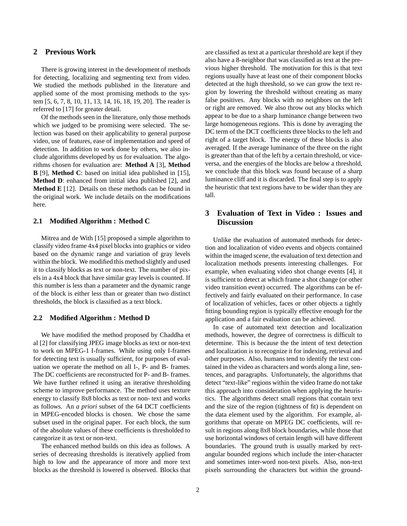## **2 Previous Work**

There is growing interest in the development of methods for detecting, localizing and segmenting text from video. We studied the methods published in the literature and applied some of the most promising methods to the system [5, 6, 7, 8, 10, 11, 13, 14, 16, 18, 19, 20]. The reader is referred to [17] for greater detail.

Of the methods seen in the literature, only those methods which we judged to be promising were selected. The selection was based on their applicability to general purpose video, use of features, ease of implementation and speed of detection. In addition to work done by others, we also include algorithms developed by us for evaluation. The algorithms chosen for evaluation are: **Method A** [3], **Method B** [9], **Method C**: based on initial idea published in [15], **Method D**: enhanced from initial idea published [2], and **Method E** [12]. Details on these methods can be found in the original work. We include details on the modifications here.

#### **2.1 Modified Algorithm : Method C**

Mitrea and de With [15] proposed a simple algorithm to classify video frame 4x4 pixel blocks into graphics or video based on the dynamic range and variation of gray levels within the block. We modified this method slightly and used it to classify blocks as text or non-text. The number of pixels in a 4x4 block that have similar gray levels is counted. If this number is less than a parameter and the dynamic range of the block is either less than or greater than two distinct thresholds, the block is classified as a text block.

#### **2.2 Modified Algorithm : Method D**

We have modified the method proposed by Chaddha et al [2] for classifying JPEG image blocks as text or non-text to work on MPEG-1 I-frames. While using only I-frames for detecting text is usually sufficient, for purposes of evaluation we operate the method on all I-, P- and B- frames. The DC coefficients are reconstructed for P- and B- frames. We have further refined it using an iterative thresholding scheme to improve performance. The method uses texture energy to classify 8x8 blocks as text or non- text and works as follows. An *a priori* subset of the 64 DCT coefficients in MPEG-encoded blocks is chosen. We chose the same subset used in the original paper. For each block, the sum of the absolute values of these coefficients is thresholded to categorize it as text or non-text.

The enhanced method builds on this idea as follows. A series of decreasing thresholds is iteratively applied from high to low and the appearance of more and more text blocks as the threshold is lowered is observed. Blocks that

are classified as text at a particular threshold are kept if they also have a 8-neighbor that was classified as text at the previous higher threshold. The motivation for this is that text regions usually have at least one of their component blocks detected at the high threshold, so we can grow the text region by lowering the threshold without creating as many false positives. Any blocks with no neighbors on the left or right are removed. We also throw out any blocks which appear to be due to a sharp luminance change between two large homogeneous regions. This is done by averaging the DC term of the DCT coefficients three blocks to the left and right of a target block. The energy of these blocks is also averaged. If the average luminance of the three on the right is greater than that of the left by a certain threshold, or viceversa, and the energies of the blocks are below a threshold, we conclude that this block was found because of a sharp luminance cliff and it is discarded. The final step is to apply the heuristic that text regions have to be wider than they are tall.

## **3 Evaluation of Text in Video : Issues and Discussion**

Unlike the evaluation of automated methods for detection and localization of video events and objects contained within the imaged scene, the evaluation of text detection and localization methods presents interesting challenges. For example, when evaluating video shot change events [4], it is sufficient to detect at which frame a shot change (or other video transition event) occurred. The algorithms can be effectively and fairly evaluated on their performance. In case of localization of vehicles, faces or other objects a tightly fitting bounding region is typically effective enough for the application and a fair evaluation can be achieved.

In case of automated text detection and localization methods, however, the degree of correctness is difficult to determine. This is because the the intent of text detection and localization is to recognize it for indexing, retrieval and other purposes. Also, humans tend to identify the text contained in the video as characters and words along a line, sentences, and paragraphs. Unfortunately, the algorithms that detect "text-like" regions within the video frame do not take this approach into consideration when applying the heuristics. The algorithms detect small regions that contain text and the size of the region (tightness of fit) is dependent on the data element used by the algorithm. For example, algorithms that operate on MPEG DC coefficients, will result in regions along 8x8 block boundaries, while those that use horizontal windows of certain length will have different boundaries. The ground truth is usually marked by rectangular bounded regions which include the inter-character and sometimes inter-word non-text pixels. Also, non-text pixels surrounding the characters but within the ground-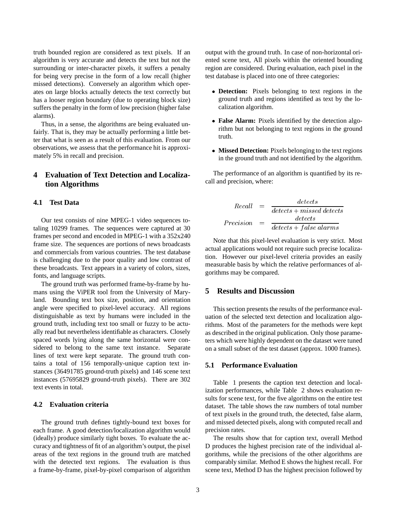truth bounded region are considered as text pixels. If an algorithm is very accurate and detects the text but not the surrounding or inter-character pixels, it suffers a penalty for being very precise in the form of a low recall (higher missed detections). Conversely an algorithm which operates on large blocks actually detects the text correctly but has a looser region boundary (due to operating block size) suffers the penalty in the form of low precision (higher false alarms).

Thus, in a sense, the algorithms are being evaluated unfairly. That is, they may be actually performing a little better that what is seen as a result of this evaluation. From our observations, we assess that the performance hit is approximately 5% in recall and precision.

# **4 Evaluation of Text Detection and Localization Algorithms**

### **4.1 Test Data**

Our test consists of nine MPEG-1 video sequences totaling 10299 frames. The sequences were captured at 30 frames per second and encoded in MPEG-1 with a 352x240 frame size. The sequences are portions of news broadcasts and commercials from various countries. The test database is challenging due to the poor quality and low contrast of these broadcasts. Text appears in a variety of colors, sizes, fonts, and language scripts.

The ground truth was performed frame-by-frame by humans using the ViPER tool from the University of Maryland. Bounding text box size, position, and orientation angle were specified to pixel-level accuracy. All regions distinguishable as text by humans were included in the ground truth, including text too small or fuzzy to be actually read but nevertheless identifiable as characters. Closely spaced words lying along the same horizontal were considered to belong to the same text instance. Separate lines of text were kept separate. The ground truth contains a total of 156 temporally-unique caption text instances (36491785 ground-truth pixels) and 146 scene text instances (57695829 ground-truth pixels). There are 302 text events in total.

#### **4.2 Evaluation criteria**

The ground truth defines tightly-bound text boxes for each frame. A good detection/localization algorithm would (ideally) produce similarly tight boxes. To evaluate the accuracy and tightness of fit of an algorithm's output, the pixel areas of the text regions in the ground truth are matched with the detected text regions. The evaluation is thus a frame-by-frame, pixel-by-pixel comparison of algorithm output with the ground truth. In case of non-horizontal oriented scene text, All pixels within the oriented bounding region are considered. During evaluation, each pixel in the test database is placed into one of three categories:

- **Detection:** Pixels belonging to text regions in the ground truth and regions identified as text by the localization algorithm.
- **False Alarm:** Pixels identified by the detection algorithm but not belonging to text regions in the ground truth.
- **Missed Detection:** Pixels belonging to the text regions in the ground truth and not identified by the algorithm.

The performance of an algorithm is quantified by its recall and precision, where:

$$
Recall = \frac{detects}{detects + missed \, detects}
$$
  

$$
Precision = \frac{detects}{detects + false \, alarms}
$$

Note that this pixel-level evaluation is very strict. Most actual applications would not require such precise localization. However our pixel-level criteria provides an easily measurable basis by which the relative performances of algorithms may be compared.

#### **5 Results and Discussion**

This section presents the results of the performance evaluation of the selected text detection and localization algorithms. Most of the parameters for the methods were kept as described in the original publication. Only those parameters which were highly dependent on the dataset were tuned on a small subset of the test dataset (approx. 1000 frames).

### **5.1 Performance Evaluation**

Table 1 presents the caption text detection and localization performances, while Table 2 shows evaluation results for scene text, for the five algorithms on the entire test dataset. The table shows the raw numbers of total number of text pixels in the ground truth, the detected, false alarm, and missed detected pixels, along with computed recall and precision rates.

The results show that for caption text, overall Method D produces the highest precision rate of the individual algorithms, while the precisions of the other algorithms are comparably similar. Method E shows the highest recall. For scene text, Method D has the highest precision followed by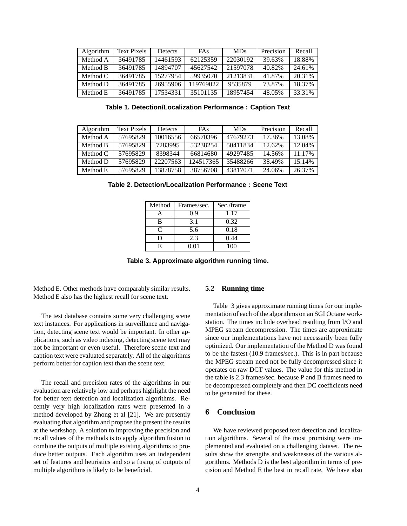| Algorithm  | <b>Text Pixels</b> | <b>Detects</b> | <b>FAs</b> | <b>MDs</b> | Precision | Recall |
|------------|--------------------|----------------|------------|------------|-----------|--------|
| Method A   | 36491785           | 14461593       | 62125359   | 22030192   | 39.63%    | 18.88% |
| Method B   | 36491785           | 14894707       | 45627542   | 21597078   | 40.82%    | 24.61% |
| Method $C$ | 36491785           | 15277954       | 59935070   | 21213831   | 41.87%    | 20.31% |
| Method D   | 36491785           | 26955906       | 119769022  | 9535879    | 73.87%    | 18.37% |
| Method E   | 36491785           | 17534331       | 35101135   | 18957454   | 48.05%    | 33.31% |

**Table 1. Detection/Localization Performance : Caption Text**

| Algorithm  | <b>Text Pixels</b> | <b>Detects</b> | <b>FAs</b> | <b>MDs</b> | Precision | Recall |
|------------|--------------------|----------------|------------|------------|-----------|--------|
| Method A   | 57695829           | 10016556       | 66570396   | 47679273   | 17.36%    | 13.08% |
| Method B   | 57695829           | 7283995        | 53238254   | 50411834   | 12.62%    | 12.04% |
| Method $C$ | 57695829           | 8398344        | 66814680   | 49297485   | 14.56%    | 11.17% |
| Method D   | 57695829           | 22207563       | 124517365  | 35488266   | 38.49%    | 15.14% |
| Method E   | 57695829           | 13878758       | 38756708   | 43817071   | 24.06%    | 26.37% |

**Table 2. Detection/Localization Performance : Scene Text**

| Method | Frames/sec. | Sec./frame |
|--------|-------------|------------|
|        | 0.9         | 1.17       |
| В      | 3.1         | 0.32       |
| ⊂      | 5.6         | 0.18       |
| ו ו    | 2.3         | 0.44       |
| F.     | 0.01        | 100        |

**Table 3. Approximate algorithm running time.**

Method E. Other methods have comparably similar results. Method E also has the highest recall for scene text.

The test database contains some very challenging scene text instances. For applications in surveillance and navigation, detecting scene text would be important. In other applications, such as video indexing, detecting scene text may not be important or even useful. Therefore scene text and caption text were evaluated separately. All of the algorithms perform better for caption text than the scene text.

The recall and precision rates of the algorithms in our evaluation are relatively low and perhaps highlight the need for better text detection and localization algorithms. Recently very high localization rates were presented in a method developed by Zhong et al [21]. We are presently evaluating that algorithm and propose the present the results at the workshop. A solution to improving the precision and recall values of the methods is to apply algorithm fusion to combine the outputs of multiple existing algorithms to produce better outputs. Each algorithm uses an independent set of features and heuristics and so a fusing of outputs of multiple algorithms is likely to be beneficial.

#### **5.2 Running time**

Table 3 gives approximate running times for our implementation of each of the algorithms on an SGI Octane workstation. The times include overhead resulting from I/O and MPEG stream decompression. The times are approximate since our implementations have not necessarily been fully optimized. Our implementation of the Method D was found to be the fastest (10.9 frames/sec.). This is in part because the MPEG stream need not be fully decompressed since it operates on raw DCT values. The value for this method in the table is 2.3 frames/sec. because P and B frames need to be decompressed completely and then DC coefficients need to be generated for these.

#### **6 Conclusion**

We have reviewed proposed text detection and localization algorithms. Several of the most promising were implemented and evaluated on a challenging dataset. The results show the strengths and weaknesses of the various algorithms. Methods D is the best algorithm in terms of precision and Method E the best in recall rate. We have also